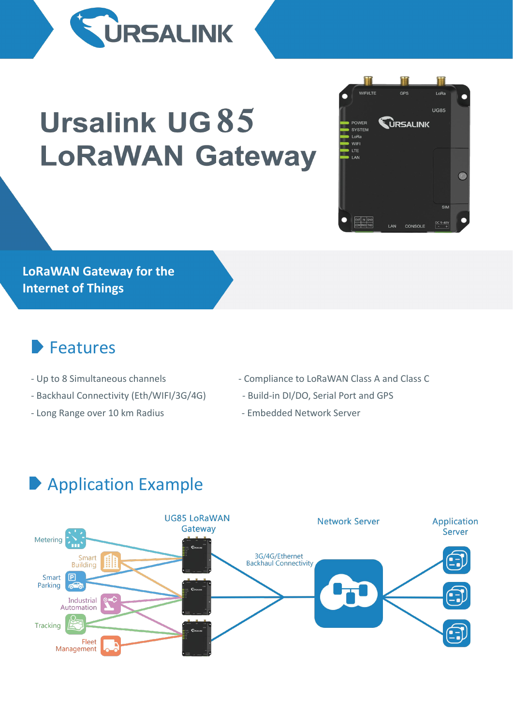

# **Ursalink UG 85 LoRaWAN Gateway**

**LoRaWAN Gateway for the Internet of Things**

#### Features

- 
- Backhaul Connectivity (Eth/WIFI/3G/4G) Build-in DI/DO, Serial Port and GPS
- Long Range over 10 km Radius Company Embedded Network Server
- Up to 8 Simultaneous channels Compliance to LoRaWAN Class A and Class C

H

 $CDS$ 

**URSALINK** 

LAN CONSOLE

WIEI/LTE

POWER SYSTEM LoRa WIFI

LTE LAN

OUT IN GNE

驑

 $10R<sub>2</sub>$  $U$ G85

 $\sqrt{2}$ 

- 
- 

# Application Example

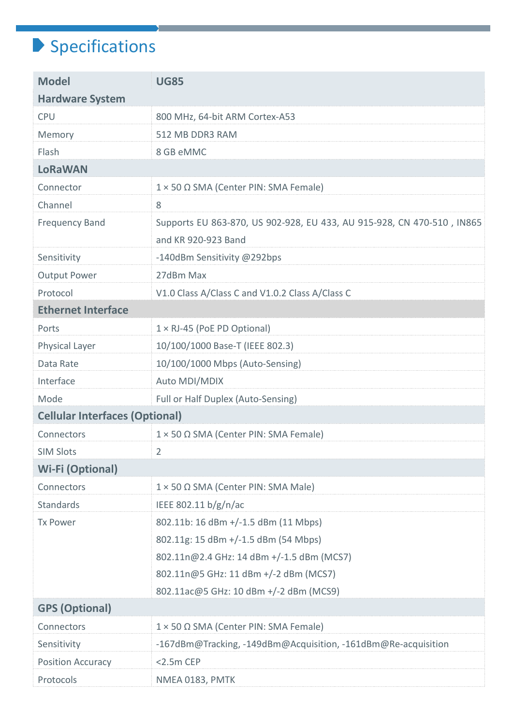## $\blacktriangleright$  Specifications

| <b>Model</b><br><b>UG85</b>                                                                     |
|-------------------------------------------------------------------------------------------------|
| <b>Hardware System</b>                                                                          |
| <b>CPU</b><br>800 MHz, 64-bit ARM Cortex-A53                                                    |
| 512 MB DDR3 RAM<br>Memory                                                                       |
| Flash<br>8 GB eMMC                                                                              |
| <b>LoRaWAN</b>                                                                                  |
| $1 \times 50 \Omega$ SMA (Center PIN: SMA Female)<br>Connector                                  |
| Channel<br>8                                                                                    |
| <b>Frequency Band</b><br>Supports EU 863-870, US 902-928, EU 433, AU 915-928, CN 470-510, IN865 |
| and KR 920-923 Band                                                                             |
| -140dBm Sensitivity @292bps<br>Sensitivity                                                      |
| 27dBm Max<br><b>Output Power</b>                                                                |
| V1.0 Class A/Class C and V1.0.2 Class A/Class C<br>Protocol                                     |
| <b>Ethernet Interface</b>                                                                       |
| $1 \times R$ J-45 (PoE PD Optional)<br>Ports                                                    |
| 10/100/1000 Base-T (IEEE 802.3)<br>Physical Layer                                               |
| 10/100/1000 Mbps (Auto-Sensing)<br>Data Rate                                                    |
| Interface<br>Auto MDI/MDIX                                                                      |
| Full or Half Duplex (Auto-Sensing)<br>Mode                                                      |
| <b>Cellular Interfaces (Optional)</b>                                                           |
| Connectors<br>$1 \times 50 \Omega$ SMA (Center PIN: SMA Female)                                 |
| <b>SIM Slots</b><br>2                                                                           |
| <b>Wi-Fi (Optional)</b>                                                                         |
| 1 × 50 Ω SMA (Center PIN: SMA Male)<br>Connectors                                               |
| <b>Standards</b><br>IEEE 802.11 b/g/n/ac                                                        |
| 802.11b: 16 dBm +/-1.5 dBm (11 Mbps)<br><b>Tx Power</b>                                         |
| 802.11g: 15 dBm +/-1.5 dBm (54 Mbps)                                                            |
| 802.11n@2.4 GHz: 14 dBm +/-1.5 dBm (MCS7)                                                       |
| 802.11n@5 GHz: 11 dBm +/-2 dBm (MCS7)                                                           |
| 802.11ac@5 GHz: 10 dBm +/-2 dBm (MCS9)                                                          |
| <b>GPS (Optional)</b>                                                                           |
| 1 × 50 Ω SMA (Center PIN: SMA Female)<br>Connectors                                             |
| Sensitivity<br>-167dBm@Tracking, -149dBm@Acquisition, -161dBm@Re-acquisition                    |
| <b>Position Accuracy</b><br>$<$ 2.5 $m$ CEP                                                     |
| Protocols<br>NMEA 0183, PMTK                                                                    |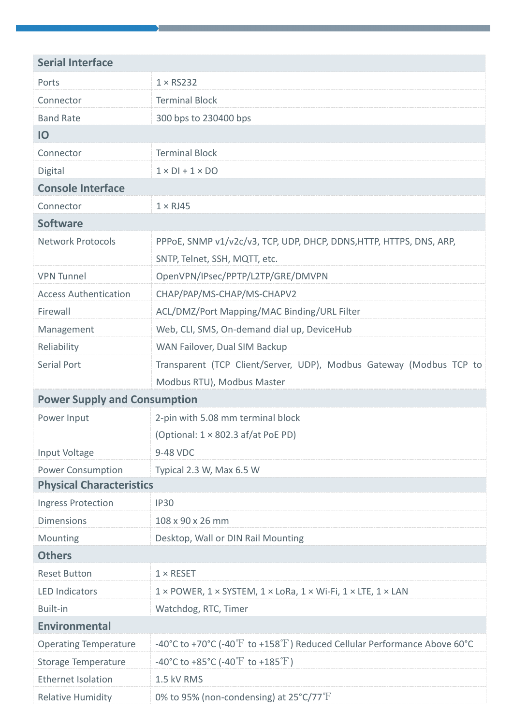| <b>Serial Interface</b>             |                                                                                                        |
|-------------------------------------|--------------------------------------------------------------------------------------------------------|
| Ports                               | $1 \times$ RS232                                                                                       |
| Connector                           | <b>Terminal Block</b>                                                                                  |
| <b>Band Rate</b>                    | 300 bps to 230400 bps                                                                                  |
| IO                                  |                                                                                                        |
| Connector                           | <b>Terminal Block</b>                                                                                  |
| Digital                             | $1 \times DI + 1 \times DO$                                                                            |
| <b>Console Interface</b>            |                                                                                                        |
| Connector                           | $1 \times R$ J45                                                                                       |
| <b>Software</b>                     |                                                                                                        |
| <b>Network Protocols</b>            | PPPOE, SNMP v1/v2c/v3, TCP, UDP, DHCP, DDNS, HTTP, HTTPS, DNS, ARP,<br>SNTP, Telnet, SSH, MQTT, etc.   |
| <b>VPN Tunnel</b>                   | OpenVPN/IPsec/PPTP/L2TP/GRE/DMVPN                                                                      |
| <b>Access Authentication</b>        | CHAP/PAP/MS-CHAP/MS-CHAPV2                                                                             |
| Firewall                            | ACL/DMZ/Port Mapping/MAC Binding/URL Filter                                                            |
| Management                          | Web, CLI, SMS, On-demand dial up, DeviceHub                                                            |
| Reliability                         | WAN Failover, Dual SIM Backup                                                                          |
| <b>Serial Port</b>                  | Transparent (TCP Client/Server, UDP), Modbus Gateway (Modbus TCP to                                    |
|                                     | Modbus RTU), Modbus Master                                                                             |
| <b>Power Supply and Consumption</b> |                                                                                                        |
| Power Input                         | 2-pin with 5.08 mm terminal block                                                                      |
|                                     | (Optional: $1 \times 802.3$ af/at PoE PD)                                                              |
| Input Voltage                       | 9-48 VDC                                                                                               |
| <b>Power Consumption</b>            | Typical 2.3 W, Max 6.5 W                                                                               |
| <b>Physical Characteristics</b>     |                                                                                                        |
| Ingress Protection                  | <b>IP30</b>                                                                                            |
| <b>Dimensions</b>                   | 108 x 90 x 26 mm                                                                                       |
| Mounting                            | Desktop, Wall or DIN Rail Mounting                                                                     |
| <b>Others</b>                       |                                                                                                        |
| <b>Reset Button</b>                 | $1 \times$ RESET                                                                                       |
| <b>LED Indicators</b>               | $1 \times$ POWER, $1 \times$ SYSTEM, $1 \times$ LoRa, $1 \times$ Wi-Fi, $1 \times$ LTE, $1 \times$ LAN |
| Built-in                            | Watchdog, RTC, Timer                                                                                   |
| <b>Environmental</b>                |                                                                                                        |
| <b>Operating Temperature</b>        | -40°C to +70°C (-40 $\rm{F}$ to +158 $\rm{F}$ ) Reduced Cellular Performance Above 60°C                |
| Storage Temperature                 | -40°C to +85°C (-40°F to +185°F)                                                                       |
| <b>Ethernet Isolation</b>           | 1.5 kV RMS                                                                                             |
| <b>Relative Humidity</b>            | 0% to 95% (non-condensing) at $25^{\circ}$ C/77 $^{\circ}$ F                                           |